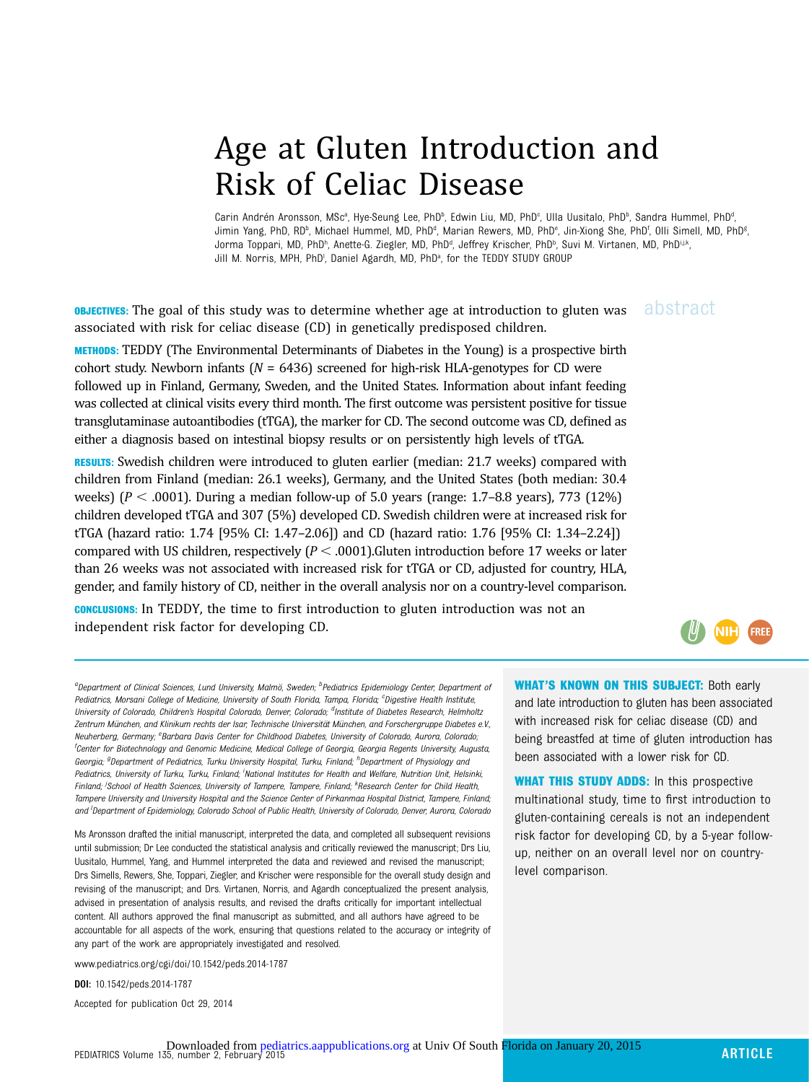# Age at Gluten Introduction and Risk of Celiac Disease

Carin Andrén Aronsson, MScª, Hye-Seung Lee, PhDʰ, Edwin Liu, MD, PhDº, Ulla Uusitalo, PhDʰ, Sandra Hummel, PhDª , Jimin Yang, PhD, RD<sup>b</sup>, Michael Hummel, MD, PhD<sup>d</sup>, Marian Rewers, MD, PhD<sup>e</sup>, Jin-Xiong She, PhD<sup>f</sup>, Olli Simell, MD, PhD<sup>g</sup> , Jorma Toppari, MD, PhDʰ, Anette-G. Ziegler, MD, PhDª, Jeffrey Krischer, PhDʰ, Suvi M. Virtanen, MD, PhDʲʲ.k, Jill M. Norris, MPH, PhD<sup>I</sup>, Daniel Agardh, MD, PhD<sup>a</sup>, for the TEDDY STUDY GROUP

**OBJECTIVES:** The goal of this study was to determine whether age at introduction to gluten was abstract associated with risk for celiac disease (CD) in genetically predisposed children.

METHODS: TEDDY (The Environmental Determinants of Diabetes in the Young) is a prospective birth cohort study. Newborn infants ( $N = 6436$ ) screened for high-risk HLA-genotypes for CD were followed up in Finland, Germany, Sweden, and the United States. Information about infant feeding was collected at clinical visits every third month. The first outcome was persistent positive for tissue transglutaminase autoantibodies (tTGA), the marker for CD. The second outcome was CD, defined as either a diagnosis based on intestinal biopsy results or on persistently high levels of tTGA.

RESULTS: Swedish children were introduced to gluten earlier (median: 21.7 weeks) compared with children from Finland (median: 26.1 weeks), Germany, and the United States (both median: 30.4 weeks) ( $P < .0001$ ). During a median follow-up of 5.0 years (range: 1.7–8.8 years), 773 (12%) children developed tTGA and 307 (5%) developed CD. Swedish children were at increased risk for tTGA (hazard ratio: 1.74 [95% CI: 1.47–2.06]) and CD (hazard ratio: 1.76 [95% CI: 1.34–2.24]) compared with US children, respectively  $(P < .0001)$ .Gluten introduction before 17 weeks or later than 26 weeks was not associated with increased risk for tTGA or CD, adjusted for country, HLA, gender, and family history of CD, neither in the overall analysis nor on a country-level comparison.

CONCLUSIONS: In TEDDY, the time to first introduction to gluten introduction was not an independent risk factor for developing CD.

**FREE** 

<sup>a</sup>Department of Clinical Sciences, Lund University, Malmö, Sweden; <sup>b</sup>Pediatrics Epidemiology Center, Department of Pediatrics, Morsani College of Medicine, University of South Florida, Tampa, Florida; <sup>c</sup>Digestive Health Institute, University of Colorado, Children's Hospital Colorado, Denver, Colorado; <sup>d</sup>Institute of Diabetes Research, Helmholtz Zentrum München, and Klinikum rechts der Isar, Technische Universität München, and Forschergruppe Diabetes e.V., Neuherberg, Germany; <sup>e</sup>Barbara Davis Center for Childhood Diabetes, University of Colorado, Aurora, Colorado, f Center for Biotechnology and Genomic Medicine, Medical College of Georgia, Georgia Regents University, Augusta, Georgia; <sup>g</sup>Department of Pediatrics, Turku University Hospital, Turku, Finland; <sup>h</sup>Department of Physiology and Pediatrics, University of Turku, Turku, Finland; <sup>i</sup>National Institutes for Health and Welfare, Nutrition Unit, Helsinki, Finland; <sup>j</sup>School of Health Sciences, University of Tampere, Tampere, Finland; <sup>k</sup>Research Center for Child Health, Tampere University and University Hospital and the Science Center of Pirkanmaa Hospital District, Tampere, Finland; and <sup>I</sup>Department of Epidemiology, Colorado School of Public Health, University of Colorado, Denver, Aurora, Colorado

Ms Aronsson drafted the initial manuscript, interpreted the data, and completed all subsequent revisions until submission; Dr Lee conducted the statistical analysis and critically reviewed the manuscript; Drs Liu, Uusitalo, Hummel, Yang, and Hummel interpreted the data and reviewed and revised the manuscript; Drs Simells, Rewers, She, Toppari, Ziegler, and Krischer were responsible for the overall study design and revising of the manuscript; and Drs. Virtanen, Norris, and Agardh conceptualized the present analysis, advised in presentation of analysis results, and revised the drafts critically for important intellectual content. All authors approved the final manuscript as submitted, and all authors have agreed to be accountable for all aspects of the work, ensuring that questions related to the accuracy or integrity of any part of the work are appropriately investigated and resolved.

www.pediatrics.org/cgi/doi/10.1542/peds.2014-1787

DOI: 10.1542/peds.2014-1787

Accepted for publication Oct 29, 2014

WHAT'S KNOWN ON THIS SUBJECT: Both early and late introduction to gluten has been associated with increased risk for celiac disease (CD) and being breastfed at time of gluten introduction has been associated with a lower risk for CD.

WHAT THIS STUDY ADDS: In this prospective multinational study, time to first introduction to gluten-containing cereals is not an independent risk factor for developing CD, by a 5-year followup, neither on an overall level nor on countrylevel comparison.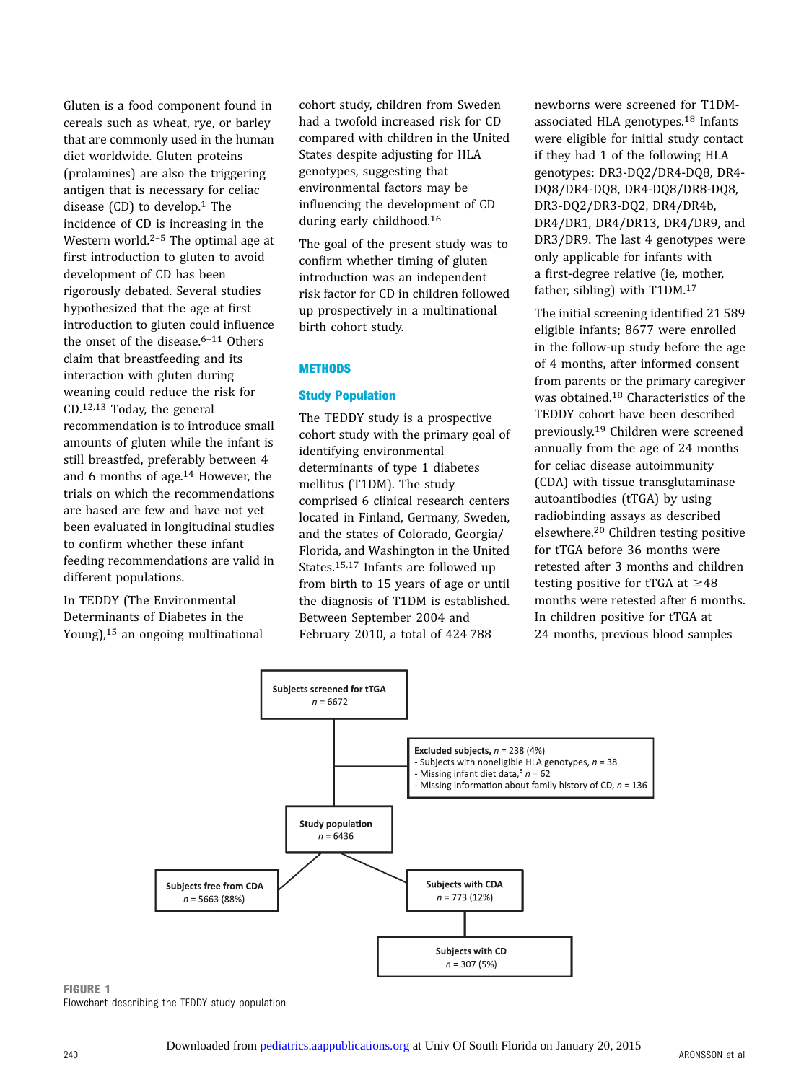Gluten is a food component found in cereals such as wheat, rye, or barley that are commonly used in the human diet worldwide. Gluten proteins (prolamines) are also the triggering antigen that is necessary for celiac disease  $(CD)$  to develop.<sup>1</sup> The incidence of CD is increasing in the Western world.<sup>2-5</sup> The optimal age at first introduction to gluten to avoid development of CD has been rigorously debated. Several studies hypothesized that the age at first introduction to gluten could influence the onset of the disease. $6-11$  Others claim that breastfeeding and its interaction with gluten during weaning could reduce the risk for CD.12,13 Today, the general recommendation is to introduce small amounts of gluten while the infant is still breastfed, preferably between 4 and 6 months of age.14 However, the trials on which the recommendations are based are few and have not yet been evaluated in longitudinal studies to confirm whether these infant feeding recommendations are valid in different populations.

In TEDDY (The Environmental Determinants of Diabetes in the Young),15 an ongoing multinational cohort study, children from Sweden had a twofold increased risk for CD compared with children in the United States despite adjusting for HLA genotypes, suggesting that environmental factors may be influencing the development of CD during early childhood.16

The goal of the present study was to confirm whether timing of gluten introduction was an independent risk factor for CD in children followed up prospectively in a multinational birth cohort study.

#### **METHODS**

#### Study Population

The TEDDY study is a prospective cohort study with the primary goal of identifying environmental determinants of type 1 diabetes mellitus (T1DM). The study comprised 6 clinical research centers located in Finland, Germany, Sweden, and the states of Colorado, Georgia/ Florida, and Washington in the United States.15,17 Infants are followed up from birth to 15 years of age or until the diagnosis of T1DM is established. Between September 2004 and February 2010, a total of 424 788

newborns were screened for T1DMassociated HLA genotypes.18 Infants were eligible for initial study contact if they had 1 of the following HLA genotypes: DR3-DQ2/DR4-DQ8, DR4- DQ8/DR4-DQ8, DR4-DQ8/DR8-DQ8, DR3-DQ2/DR3-DQ2, DR4/DR4b, DR4/DR1, DR4/DR13, DR4/DR9, and DR3/DR9. The last 4 genotypes were only applicable for infants with a first-degree relative (ie, mother, father, sibling) with T1DM.17

The initial screening identified 21 589 eligible infants; 8677 were enrolled in the follow-up study before the age of 4 months, after informed consent from parents or the primary caregiver was obtained.18 Characteristics of the TEDDY cohort have been described previously.19 Children were screened annually from the age of 24 months for celiac disease autoimmunity (CDA) with tissue transglutaminase autoantibodies (tTGA) by using radiobinding assays as described elsewhere.20 Children testing positive for tTGA before 36 months were retested after 3 months and children testing positive for tTGA at  $\geq$ 48 months were retested after 6 months. In children positive for tTGA at 24 months, previous blood samples



FIGURE 1 Flowchart describing the TEDDY study population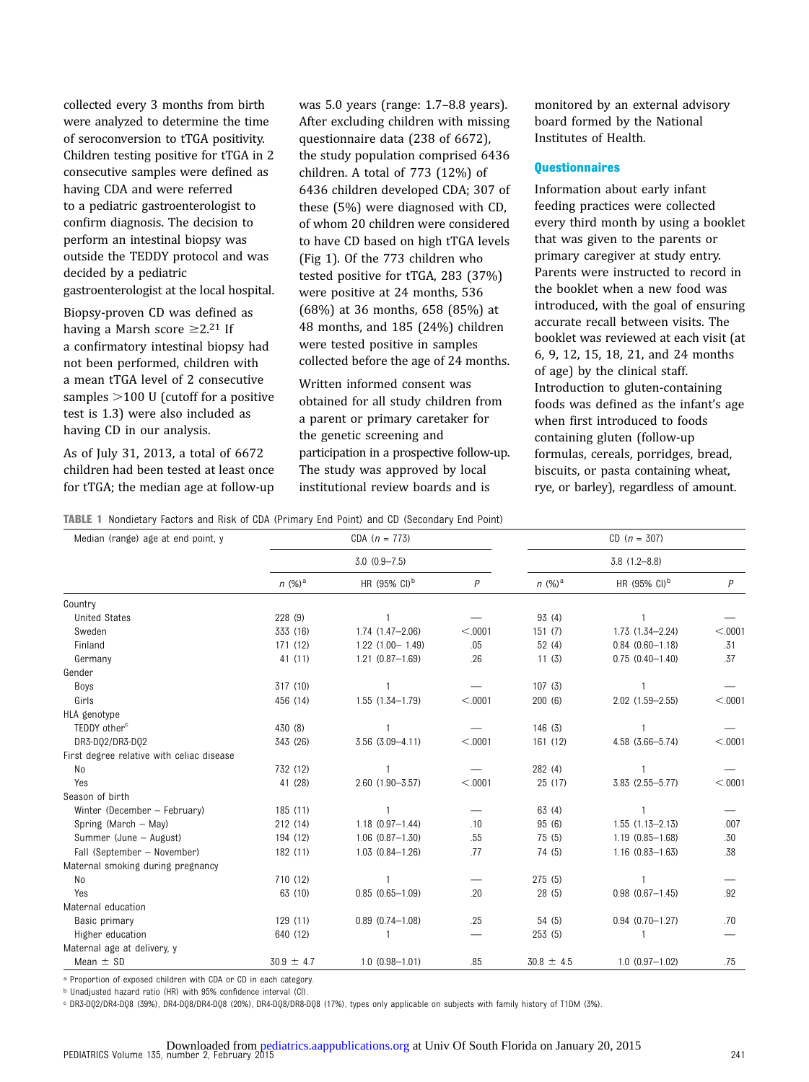collected every 3 months from birth were analyzed to determine the time of seroconversion to tTGA positivity. Children testing positive for tTGA in 2 consecutive samples were defined as having CDA and were referred to a pediatric gastroenterologist to confirm diagnosis. The decision to perform an intestinal biopsy was outside the TEDDY protocol and was decided by a pediatric gastroenterologist at the local hospital.

Biopsy-proven CD was defined as having a Marsh score  $\geq 2.21$  If a confirmatory intestinal biopsy had not been performed, children with a mean tTGA level of 2 consecutive samples  $>$ 100 U (cutoff for a positive test is 1.3) were also included as having CD in our analysis.

As of July 31, 2013, a total of 6672 children had been tested at least once for tTGA; the median age at follow-up

was 5.0 years (range: 1.7–8.8 years). After excluding children with missing questionnaire data (238 of 6672), the study population comprised 6436 children. A total of 773 (12%) of 6436 children developed CDA; 307 of these (5%) were diagnosed with CD, of whom 20 children were considered to have CD based on high tTGA levels (Fig 1). Of the 773 children who tested positive for tTGA, 283 (37%) were positive at 24 months, 536 (68%) at 36 months, 658 (85%) at 48 months, and 185 (24%) children were tested positive in samples collected before the age of 24 months.

Written informed consent was obtained for all study children from a parent or primary caretaker for the genetic screening and participation in a prospective follow-up. The study was approved by local institutional review boards and is

monitored by an external advisory board formed by the National Institutes of Health.

# **Questionnaires**

Information about early infant feeding practices were collected every third month by using a booklet that was given to the parents or primary caregiver at study entry. Parents were instructed to record in the booklet when a new food was introduced, with the goal of ensuring accurate recall between visits. The booklet was reviewed at each visit (at 6, 9, 12, 15, 18, 21, and 24 months of age) by the clinical staff. Introduction to gluten-containing foods was defined as the infant's age when first introduced to foods containing gluten (follow-up formulas, cereals, porridges, bread, biscuits, or pasta containing wheat, rye, or barley), regardless of amount.

TABLE 1 Nondietary Factors and Risk of CDA (Primary End Point) and CD (Secondary End Point)

| Median (range) age at end point, y        |                | CDA $(n = 773)$          | $CD (n = 307)$ |                  |                                   |                |  |
|-------------------------------------------|----------------|--------------------------|----------------|------------------|-----------------------------------|----------------|--|
|                                           |                | $3.0 (0.9 - 7.5)$        |                | $3.8(1.2 - 8.8)$ |                                   |                |  |
|                                           | $n (%)^a$      | HR (95% CI) <sup>b</sup> | P              | $n (%)^a$        | HR $(95\% \text{ Cl})^{\text{b}}$ | $\overline{P}$ |  |
| Country                                   |                |                          |                |                  |                                   |                |  |
| <b>United States</b>                      | 228 (9)        |                          |                | 93 (4)           |                                   |                |  |
| Sweden                                    | 333 (16)       | $1.74(1.47 - 2.06)$      | < .0001        | 151(7)           | $1.73(1.34 - 2.24)$               | < 0001         |  |
| Finland                                   | 171 (12)       | $1.22$ $(1.00 - 1.49)$   | .05            | 52(4)            | $0.84$ $(0.60 - 1.18)$            | .31            |  |
| Germany                                   | 41 (11)        | $1.21(0.87 - 1.69)$      | .26            | 11(3)            | $0.75(0.40 - 1.40)$               | .37            |  |
| Gender                                    |                |                          |                |                  |                                   |                |  |
| Boys                                      | 317 (10)       |                          |                | 107(3)           | $\mathbf{1}$                      |                |  |
| Girls                                     | 456 (14)       | $1.55(1.34 - 1.79)$      | < 0.001        | 200(6)           | 2.02 (1.59-2.55)                  | < .0001        |  |
| HLA genotype                              |                |                          |                |                  |                                   |                |  |
| TEDDY other <sup>c</sup>                  | 430 (8)        |                          |                | 146(3)           |                                   |                |  |
| DR3-D02/DR3-D02                           | 343 (26)       | $3.56$ $(3.09 - 4.11)$   | < .0001        | 161 (12)         | 4.58 (3.66-5.74)                  | < 0.001        |  |
| First degree relative with celiac disease |                |                          |                |                  |                                   |                |  |
| No                                        | 732 (12)       |                          |                | 282 (4)          |                                   |                |  |
| Yes                                       | 41 (28)        | $2.60(1.90 - 3.57)$      | < 0.001        | 25 (17)          | $3.83$ $(2.55 - 5.77)$            | < 0001         |  |
| Season of birth                           |                |                          |                |                  |                                   |                |  |
| Winter (December - February)              | 185(11)        |                          |                | 63 (4)           |                                   |                |  |
| Spring (March - May)                      | 212 (14)       | $1.18(0.97 - 1.44)$      | .10            | 95 (6)           | $1.55(1.13 - 2.13)$               | .007           |  |
| Summer (June - August)                    | 194 (12)       | $1.06$ $(0.87 - 1.30)$   | .55            | 75(5)            | $1.19(0.85 - 1.68)$               | .30            |  |
| Fall (September - November)               | 182 (11)       | $1.03$ $(0.84 - 1.26)$   | .77            | 74 (5)           | $1.16(0.83 - 1.63)$               | .38            |  |
| Maternal smoking during pregnancy         |                |                          |                |                  |                                   |                |  |
| No                                        | 710 (12)       |                          |                | 275 (5)          |                                   |                |  |
| Yes                                       | 63 (10)        | $0.85(0.65 - 1.09)$      | .20            | 28(5)            | $0.98$ $(0.67 - 1.45)$            | .92            |  |
| Maternal education                        |                |                          |                |                  |                                   |                |  |
| Basic primary                             | 129(11)        | $0.89$ $(0.74 - 1.08)$   | .25            | 54(5)            | $0.94(0.70 - 1.27)$               | .70            |  |
| Higher education                          | 640 (12)       |                          |                | 253(5)           |                                   |                |  |
| Maternal age at delivery, y               |                |                          |                |                  |                                   |                |  |
| Mean $\pm$ SD                             | $30.9 \pm 4.7$ | $1.0(0.98 - 1.01)$       | .85            | $30.8 \pm 4.5$   | $1.0(0.97 - 1.02)$                | .75            |  |

a Proportion of exposed children with CDA or CD in each category.

<sup>b</sup> Unadjusted hazard ratio (HR) with 95% confidence interval (CI).

c DR3-DQ2/DR4-DQ8 (39%), DR4-DQ8/DR4-DQ8 (20%), DR4-DQ8/DR8-DQ8 (17%), types only applicable on subjects with family history of T1DM (3%).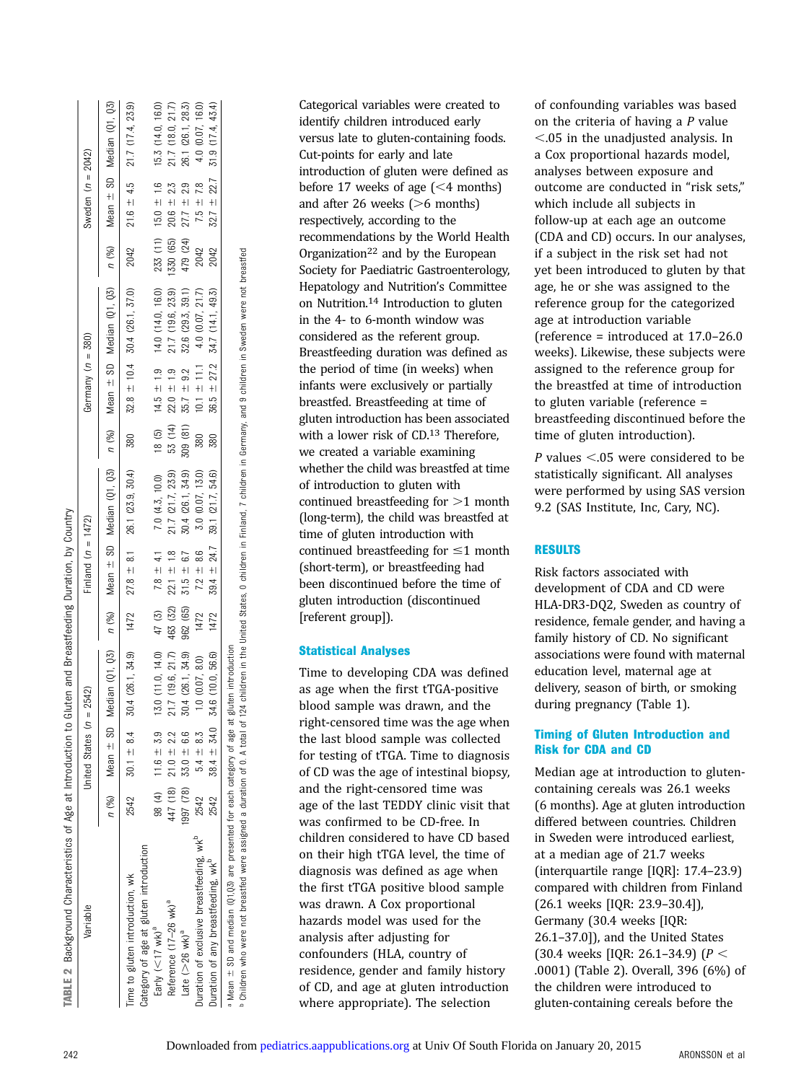| TABLE 2 Background Characteristics of Age at Introduction to |          |                          | Gluten and Breastfeeding Duration, by Country |          |                      |                                                                                                                                                                                                                              |         |                           |                                                                             |           |                     |                                            |
|--------------------------------------------------------------|----------|--------------------------|-----------------------------------------------|----------|----------------------|------------------------------------------------------------------------------------------------------------------------------------------------------------------------------------------------------------------------------|---------|---------------------------|-----------------------------------------------------------------------------|-----------|---------------------|--------------------------------------------|
| Variable                                                     |          | United States (n         | $= 2542$                                      |          | Finland $(n = 1472)$ |                                                                                                                                                                                                                              |         | Germany $(n = 380)$       |                                                                             |           | Sweden $(n = 2042)$ |                                            |
|                                                              |          | $n$ (%) Mean $\pm$ SD    |                                               |          |                      | Median (01,03) n (%) n (%) n (%) n (%) n (%) n (%) n (%) n (%) n (%) n (%) n (%) n (%) n (%) n (%) n (%) n (%) n (%) n (%) n (%) n (%) n (%) n (%) n (%) n (%) n (%) n (%) n (%) n (%) n (%) n (%) n (%) n (%) n (%) n (%) n |         |                           |                                                                             |           |                     |                                            |
| Time to gluten introduction, wk                              |          | $2542$ 30.1 $\pm$ 8.4    |                                               |          |                      | $30.4$ (26.1, 34.9) $1472$ $27.8 \pm 8.1$ 26.1 (23.9, 30.4)                                                                                                                                                                  | 380     |                           | $32.8 \pm 10.4$ 30.4 (26.1, 37.0) $2042$ $21.6 \pm 4.5$ $21.7$ (17.4, 23.9) |           |                     |                                            |
| Category of age at gluten introduction                       |          |                          |                                               |          |                      |                                                                                                                                                                                                                              |         |                           |                                                                             |           |                     |                                            |
| Early $(<$ 17 wk) <sup>a</sup>                               |          | $98(4)$ 11.6 $\pm$ 3.9   | 13.0 (11.0, 14.0)                             | 47 (3)   | $7.8 \pm 4.1$        | 7.0 (4.3, 10.0)                                                                                                                                                                                                              |         |                           | 18 (5) $14.5 \pm 1.9$ 14.0 (14.0, 16.0)                                     |           |                     | $233(11)$ 15.0 $\pm$ 1.6 15.3 (14.0, 16.0) |
| Reference (17-26 wk) <sup>a</sup>                            | 447 (18) | $21.0 + 2.2$             | 21.7 (19.6, 21.7)                             | 463 (32) | $22.1 \pm 1.8$       | 21.7 (21.7, 23.9)                                                                                                                                                                                                            | 53 (14) | $22.0 \pm 1.9$            | 21.7 (19.6, 23.9)                                                           | 1330 (65) | $20.6 \pm 2.3$      | 21.7 (18.0, 21.7)                          |
| Late $(>26$ wk) <sup>a</sup>                                 |          | $997(78)$ 33.0 $\pm$ 6.6 | 30.4 (26.1, 34.9)                             | 962 (65) | $31.5 \pm 6.7$       | 30.4 (26.1, 34.9)                                                                                                                                                                                                            |         | $309$ (81) $35.7 \pm 9.2$ | 32.6 (29.3, 39.1)                                                           | 479 (24)  | $27.7 \pm 2.9$      | 26.1 (26.1, 28.3)                          |
| Duration of exclusive breastfeeding, wk <sup>p</sup>         | 2542     | $5.4 \pm 8.3$            | $1.0$ $(0.07, 8.0)$                           | 1472     | $72 = 86$            | 3.0 (0.07, 13.0)                                                                                                                                                                                                             | 380     | $10.1 \pm 11.1$           | 4.0 (0.07, 21.7)                                                            | 2042      |                     | $7.5 \pm 7.8$ 4.0 (0.07, 16.0)             |
| Duration of any breastfeeding, wkP                           | 2542     | $38.4 \pm 34.0$          | 34.6 (10.0, 56.6)                             | 1472     |                      | $39.4 \pm 24.7$ 39.1 (21.7, 54.6)                                                                                                                                                                                            | 380     |                           | $36.5 \pm 27.2$ 34.7 (14.1, 49.3)                                           | 2042      |                     | $32.7 \pm 22.7$ 31.9 (17.4, 43.4)          |

 $\bullet$  Mean  $\pm$  SD and median (Q1,Q3) are presented for each category of age at gluten introduction Children who were not breastfed were assigned a duration of 0. A total of 124 children in the United States, 0 children in Finland, 7 children in Germany, and 9 children in Sweden were not breastfed

 $\mathbb{R}$   $\mathbb{C}$ 

Categorical variables were created to identify children introduced early versus late to gluten-containing foods. Cut-points for early and late introduction of gluten were defined as before 17 weeks of age  $\approx$  14 months) and after 26 weeks  $(>6$  months) respectively, according to the recommendations by the World Health Organization<sup>22</sup> and by the European Society for Paediatric Gastroenterology, Hepatology and Nutrition's Committee on Nutrition.14 Introduction to gluten in the 4- to 6-month window was considered as the referent group. Breastfeeding duration was defined as the period of time (in weeks) when infants were exclusively or partially breastfed. Breastfeeding at time of gluten introduction has been associated with a lower risk of CD.<sup>13</sup> Therefore, we created a variable examining whether the child was breastfed at time of introduction to gluten with continued breastfeeding for  $>1$  month (long-term), the child was breastfed at time of gluten introduction with continued breastfeeding for  $\leq 1$  month (short-term), or breastfeeding had been discontinued before the time of gluten introduction (discontinued [referent group]).

## Statistical Analyses

Time to developing CDA was defined as age when the first tTGA-positive blood sample was drawn, and the right-censored time was the age when the last blood sample was collected for testing of tTGA. Time to diagnosis of CD was the age of intestinal biopsy, and the right-censored time was age of the last TEDDY clinic visit that was confirmed to be CD-free. In children considered to have CD based on their high tTGA level, the time of diagnosis was defined as age when the first tTGA positive blood sample was drawn. A Cox proportional hazards model was used for the analysis after adjusting for confounders (HLA, country of residence, gender and family history of CD, and age at gluten introduction where appropriate). The selection

of confounding variables was based on the criteria of having a  $P$  value  $<$ .05 in the unadjusted analysis. In a Cox proportional hazards model, analyses between exposure and outcome are conducted in "risk sets," which include all subjects in follow-up at each age an outcome (CDA and CD) occurs. In our analyses, if a subject in the risk set had not yet been introduced to gluten by that age, he or she was assigned to the reference group for the categorized age at introduction variable (reference = introduced at 17.0–26.0 weeks). Likewise, these subjects were assigned to the reference group for the breastfed at time of introduction to gluten variable (reference = breastfeeding discontinued before the time of gluten introduction).

P values  $< .05$  were considered to be statistically significant. All analyses were performed by using SAS version 9.2 (SAS Institute, Inc, Cary, NC).

## **RESULTS**

Risk factors associated with development of CDA and CD were HLA-DR3-DQ2, Sweden as country of residence, female gender, and having a family history of CD. No significant associations were found with maternal education level, maternal age at delivery, season of birth, or smoking during pregnancy (Table 1).

# Timing of Gluten Introduction and Risk for CDA and CD

Median age at introduction to glutencontaining cereals was 26.1 weeks (6 months). Age at gluten introduction differed between countries. Children in Sweden were introduced earliest, at a median age of 21.7 weeks (interquartile range [IQR]: 17.4–23.9) compared with children from Finland (26.1 weeks [IQR: 23.9–30.4]), Germany (30.4 weeks [IQR: 26.1–37.0]), and the United States (30.4 weeks [IQR: 26.1-34.9] ( $P <$ .0001) (Table 2). Overall, 396 (6%) of the children were introduced to gluten-containing cereals before the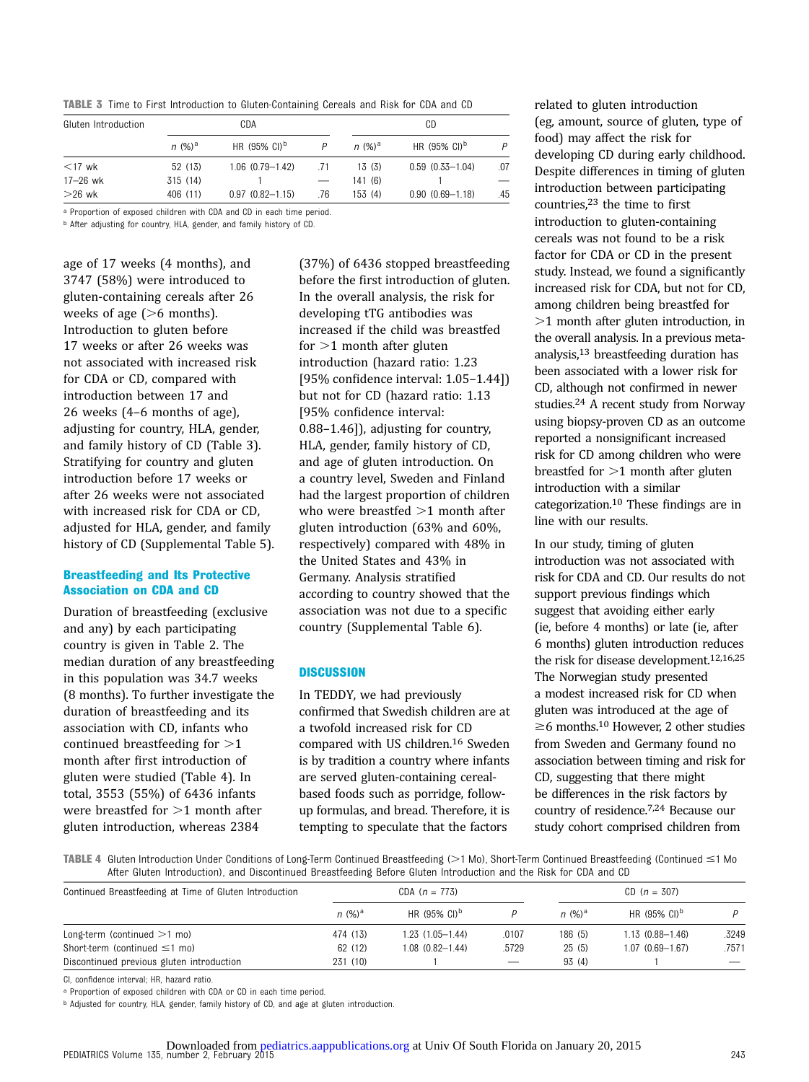TABLE 3 Time to First Introduction to Gluten-Containing Cereals and Risk for CDA and CD

| Gluten Introduction |           | CDA                               |     |           | CD                       |     |
|---------------------|-----------|-----------------------------------|-----|-----------|--------------------------|-----|
|                     | $n (%)^a$ | HR $(95\% \text{ Cl})^{\text{b}}$ |     | $n (%)^a$ | HR (95% CI) <sup>b</sup> | D   |
| $<$ 17 wk           | 52 (13)   | $1.06(0.79 - 1.42)$               | .71 | 13(3)     | $0.59(0.33 - 1.04)$      | .07 |
| 17–26 wk            | 315 (14)  |                                   |     | 141 (6)   |                          |     |
| $>26$ wk            | 406 (11)  | $0.97(0.82 - 1.15)$               | .76 | 153 (4)   | $0.90(0.69 - 1.18)$      | .45 |

a Proportion of exposed children with CDA and CD in each time period.

b After adjusting for country, HLA, gender, and family history of CD.

age of 17 weeks (4 months), and 3747 (58%) were introduced to gluten-containing cereals after 26 weeks of age  $(>6$  months). Introduction to gluten before 17 weeks or after 26 weeks was not associated with increased risk for CDA or CD, compared with introduction between 17 and 26 weeks (4–6 months of age), adjusting for country, HLA, gender, and family history of CD (Table 3). Stratifying for country and gluten introduction before 17 weeks or after 26 weeks were not associated with increased risk for CDA or CD, adjusted for HLA, gender, and family history of CD ([Supplemental Table 5\)](http://pediatrics.aappublications.org/lookup/suppl/doi:10.1542/peds.2014-1787/-/DCSupplemental).

#### Breastfeeding and Its Protective Association on CDA and CD

Duration of breastfeeding (exclusive and any) by each participating country is given in Table 2. The median duration of any breastfeeding in this population was 34.7 weeks (8 months). To further investigate the duration of breastfeeding and its association with CD, infants who continued breastfeeding for  $>1$ month after first introduction of gluten were studied (Table 4). In total, 3553 (55%) of 6436 infants were breastfed for  $>1$  month after gluten introduction, whereas 2384

(37%) of 6436 stopped breastfeeding before the first introduction of gluten. In the overall analysis, the risk for developing tTG antibodies was increased if the child was breastfed for  $>1$  month after gluten introduction (hazard ratio: 1.23 [95% confidence interval: 1.05–1.44]) but not for CD (hazard ratio: 1.13 [95% confidence interval: 0.88–1.46]), adjusting for country, HLA, gender, family history of CD, and age of gluten introduction. On a country level, Sweden and Finland had the largest proportion of children who were breastfed  $>1$  month after gluten introduction (63% and 60%, respectively) compared with 48% in the United States and 43% in Germany. Analysis stratified according to country showed that the association was not due to a specific country [\(Supplemental Table 6](http://pediatrics.aappublications.org/lookup/suppl/doi:10.1542/peds.2014-1787/-/DCSupplemental)).

#### **DISCUSSION**

In TEDDY, we had previously confirmed that Swedish children are at a twofold increased risk for CD compared with US children.16 Sweden is by tradition a country where infants are served gluten-containing cerealbased foods such as porridge, followup formulas, and bread. Therefore, it is tempting to speculate that the factors

related to gluten introduction (eg, amount, source of gluten, type of food) may affect the risk for developing CD during early childhood. Despite differences in timing of gluten introduction between participating countries,23 the time to first introduction to gluten-containing cereals was not found to be a risk factor for CDA or CD in the present study. Instead, we found a significantly increased risk for CDA, but not for CD, among children being breastfed for  $>1$  month after gluten introduction, in the overall analysis. In a previous metaanalysis,13 breastfeeding duration has been associated with a lower risk for CD, although not confirmed in newer studies.24 A recent study from Norway using biopsy-proven CD as an outcome reported a nonsignificant increased risk for CD among children who were breastfed for  $>1$  month after gluten introduction with a similar categorization.10 These findings are in line with our results.

In our study, timing of gluten introduction was not associated with risk for CDA and CD. Our results do not support previous findings which suggest that avoiding either early (ie, before 4 months) or late (ie, after 6 months) gluten introduction reduces the risk for disease development.12,16,25 The Norwegian study presented a modest increased risk for CD when gluten was introduced at the age of  $\geq$ 6 months.<sup>10</sup> However, 2 other studies from Sweden and Germany found no association between timing and risk for CD, suggesting that there might be differences in the risk factors by country of residence.7,24 Because our study cohort comprised children from

TABLE 4 Gluten Introduction Under Conditions of Long-Term Continued Breastfeeding ( $>1$  Mo), Short-Term Continued Breastfeeding (Continued  $\leq 1$  Mo After Gluten Introduction), and Discontinued Breastfeeding Before Gluten Introduction and the Risk for CDA and CD

| Continued Breastfeeding at Time of Gluten Introduction |           | CDA $(n = 773)$          |                          | $CD (n = 307)$ |                          |                          |
|--------------------------------------------------------|-----------|--------------------------|--------------------------|----------------|--------------------------|--------------------------|
|                                                        | $n (%)^a$ | HR $(95\% \text{ Cl})^D$ |                          | $n (%)^d$      | HR $(95\% \text{ Cl})^D$ | D                        |
| Long-term (continued $>1$ mo)                          | 474 (13)  | $1.23(1.05 - 1.44)$      | .0107                    | 186 (5)        | $1.13(0.88 - 1.46)$      | 3249                     |
| Short-term (continued $\leq$ 1 mo)                     | 62 (12)   | $1.08(0.82 - 1.44)$      | .5729                    | 25(5)          | $1.07(0.69 - 1.67)$      | .7571                    |
| Discontinued previous gluten introduction              | 231 (10)  |                          | $\overline{\phantom{0}}$ | 93(4)          |                          | $\overline{\phantom{a}}$ |

CI, confidence interval; HR, hazard ratio.

a Proportion of exposed children with CDA or CD in each time period.

b Adjusted for country, HLA, gender, family history of CD, and age at gluten introduction.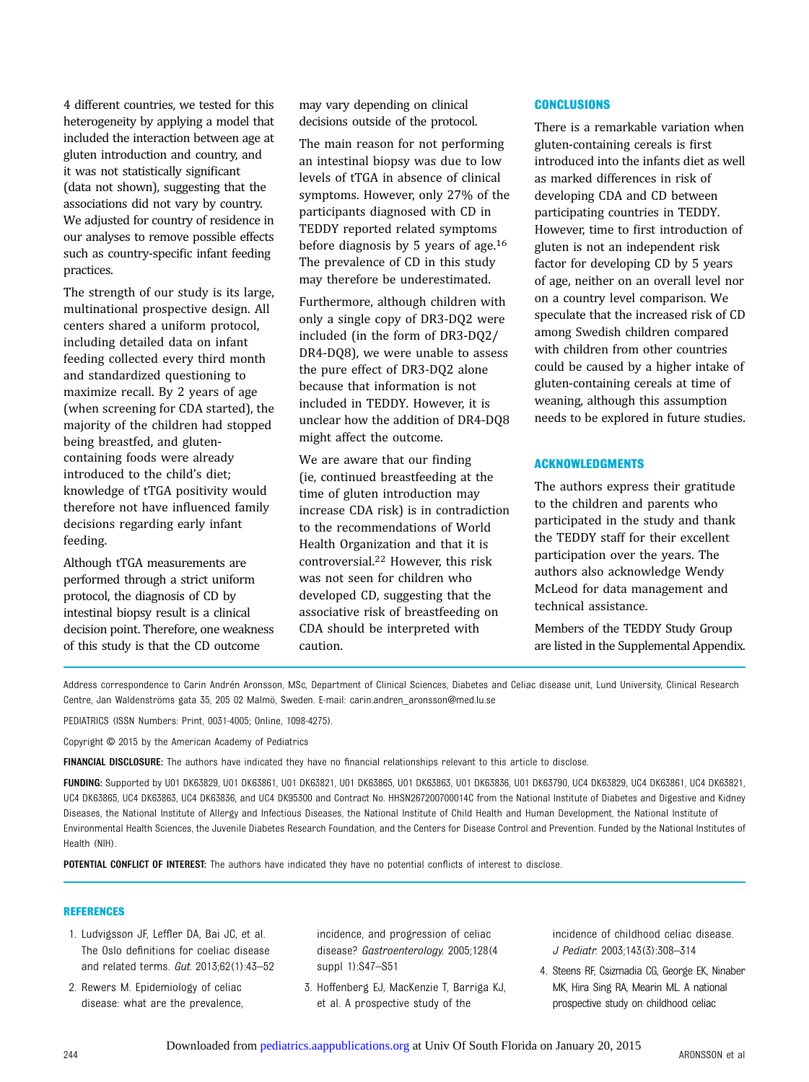4 different countries, we tested for this heterogeneity by applying a model that included the interaction between age at gluten introduction and country, and it was not statistically significant (data not shown), suggesting that the associations did not vary by country. We adjusted for country of residence in our analyses to remove possible effects such as country-specific infant feeding practices.

The strength of our study is its large, multinational prospective design. All centers shared a uniform protocol, including detailed data on infant feeding collected every third month and standardized questioning to maximize recall. By 2 years of age (when screening for CDA started), the majority of the children had stopped being breastfed, and glutencontaining foods were already introduced to the child's diet; knowledge of tTGA positivity would therefore not have influenced family decisions regarding early infant feeding.

Although tTGA measurements are performed through a strict uniform protocol, the diagnosis of CD by intestinal biopsy result is a clinical decision point. Therefore, one weakness of this study is that the CD outcome

may vary depending on clinical decisions outside of the protocol.

The main reason for not performing an intestinal biopsy was due to low levels of tTGA in absence of clinical symptoms. However, only 27% of the participants diagnosed with CD in TEDDY reported related symptoms before diagnosis by 5 years of age.16 The prevalence of CD in this study may therefore be underestimated.

Furthermore, although children with only a single copy of DR3-DQ2 were included (in the form of DR3-DQ2/ DR4-DQ8), we were unable to assess the pure effect of DR3-DQ2 alone because that information is not included in TEDDY. However, it is unclear how the addition of DR4-DQ8 might affect the outcome.

We are aware that our finding (ie, continued breastfeeding at the time of gluten introduction may increase CDA risk) is in contradiction to the recommendations of World Health Organization and that it is controversial.22 However, this risk was not seen for children who developed CD, suggesting that the associative risk of breastfeeding on CDA should be interpreted with caution.

# **CONCLUSIONS**

There is a remarkable variation when gluten-containing cereals is first introduced into the infants diet as well as marked differences in risk of developing CDA and CD between participating countries in TEDDY. However, time to first introduction of gluten is not an independent risk factor for developing CD by 5 years of age, neither on an overall level nor on a country level comparison. We speculate that the increased risk of CD among Swedish children compared with children from other countries could be caused by a higher intake of gluten-containing cereals at time of weaning, although this assumption needs to be explored in future studies.

# ACKNOWLEDGMENTS

The authors express their gratitude to the children and parents who participated in the study and thank the TEDDY staff for their excellent participation over the years. The authors also acknowledge Wendy McLeod for data management and technical assistance.

Members of the TEDDY Study Group are listed in the [Supplemental Appendix](http://pediatrics.aappublications.org/lookup/suppl/doi:10.1542/peds.2014-1787/-/DCSupplemental).

Address correspondence to Carin Andrén Aronsson, MSc, Department of Clinical Sciences, Diabetes and Celiac disease unit, Lund University, Clinical Research Centre, Jan Waldenströms gata 35, 205 02 Malmö, Sweden. E-mail: [carin.andren\\_aronsson@med.lu.se](mailto:carin.andren_aronsson@med.lu.se)

PEDIATRICS (ISSN Numbers: Print, 0031-4005; Online, 1098-4275).

Copyright © 2015 by the American Academy of Pediatrics

FINANCIAL DISCLOSURE: The authors have indicated they have no financial relationships relevant to this article to disclose.

FUNDING: Supported by U01 DK63829, U01 DK63861, U01 DK63821, U01 DK63865, U01 DK63863, U01 DK63836, U01 DK63790, UC4 DK63829, UC4 DK63861, UC4 DK63821, UC4 DK63865, UC4 DK63863, UC4 DK63836, and UC4 DK95300 and Contract No. HHSN267200700014C from the National Institute of Diabetes and Digestive and Kidney Diseases, the National Institute of Allergy and Infectious Diseases, the National Institute of Child Health and Human Development, the National Institute of Environmental Health Sciences, the Juvenile Diabetes Research Foundation, and the Centers for Disease Control and Prevention. Funded by the National Institutes of Health (NIH).

POTENTIAL CONFLICT OF INTEREST: The authors have indicated they have no potential conflicts of interest to disclose.

#### REFERENCES

- 1. Ludvigsson JF, Leffler DA, Bai JC, et al. The Oslo definitions for coeliac disease and related terms. Gut. 2013;62(1):43–52
- 2. Rewers M. Epidemiology of celiac disease: what are the prevalence,

incidence, and progression of celiac disease? Gastroenterology. 2005;128(4 suppl 1):S47–S51

3. Hoffenberg EJ, MacKenzie T, Barriga KJ, et al. A prospective study of the

incidence of childhood celiac disease. J Pediatr. 2003;143(3):308–314

4. Steens RF, Csizmadia CG, George EK, Ninaber MK, Hira Sing RA, Mearin ML. A national prospective study on childhood celiac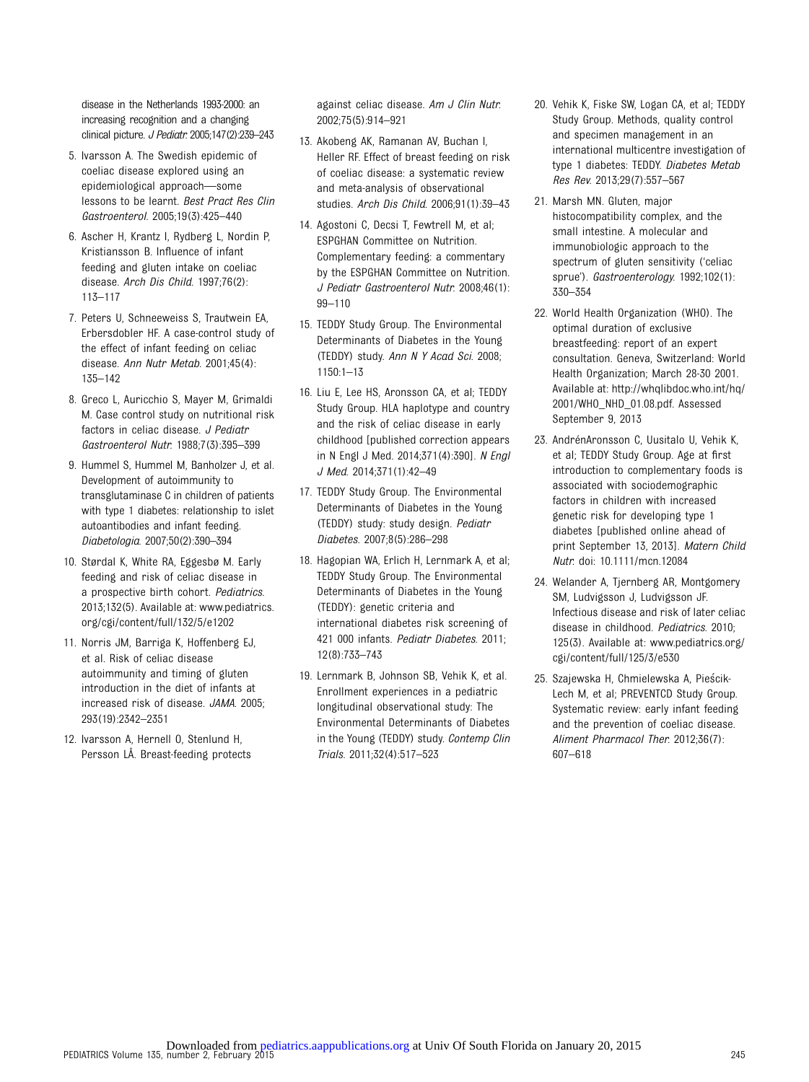disease in the Netherlands 1993-2000: an increasing recognition and a changing clinical picture. J Pediatr. 2005;147(2):239–243

- 5. Ivarsson A. The Swedish epidemic of coeliac disease explored using an epidemiological approach—some lessons to be learnt. Best Pract Res Clin Gastroenterol. 2005;19(3):425–440
- 6. Ascher H, Krantz I, Rydberg L, Nordin P, Kristiansson B. Influence of infant feeding and gluten intake on coeliac disease. Arch Dis Child. 1997;76(2): 113–117
- 7. Peters U, Schneeweiss S, Trautwein EA, Erbersdobler HF. A case-control study of the effect of infant feeding on celiac disease. Ann Nutr Metab. 2001;45(4): 135–142
- 8. Greco L, Auricchio S, Mayer M, Grimaldi M. Case control study on nutritional risk factors in celiac disease. J Pediatr Gastroenterol Nutr. 1988;7(3):395–399
- 9. Hummel S, Hummel M, Banholzer J, et al. Development of autoimmunity to transglutaminase C in children of patients with type 1 diabetes: relationship to islet autoantibodies and infant feeding. Diabetologia. 2007;50(2):390–394
- 10. Størdal K, White RA, Eggesbø M. Early feeding and risk of celiac disease in a prospective birth cohort. Pediatrics. 2013;132(5). Available at: [www.pediatrics.](http://www.pediatrics.org/cgi/content/full/132/5/e1202) [org/cgi/content/full/132/5/e1202](http://www.pediatrics.org/cgi/content/full/132/5/e1202)
- 11. Norris JM, Barriga K, Hoffenberg EJ, et al. Risk of celiac disease autoimmunity and timing of gluten introduction in the diet of infants at increased risk of disease. JAMA. 2005; 293(19):2342–2351
- 12. Ivarsson A, Hernell O, Stenlund H, Persson LÅ. Breast-feeding protects

against celiac disease. Am J Clin Nutr. 2002;75(5):914–921

- 13. Akobeng AK, Ramanan AV, Buchan I, Heller RF. Effect of breast feeding on risk of coeliac disease: a systematic review and meta-analysis of observational studies. Arch Dis Child. 2006;91(1):39–43
- 14. Agostoni C, Decsi T, Fewtrell M, et al; ESPGHAN Committee on Nutrition. Complementary feeding: a commentary by the ESPGHAN Committee on Nutrition. J Pediatr Gastroenterol Nutr. 2008;46(1): 99–110
- 15. TEDDY Study Group. The Environmental Determinants of Diabetes in the Young (TEDDY) study. Ann N Y Acad Sci. 2008; 1150:1–13
- 16. Liu E, Lee HS, Aronsson CA, et al; TEDDY Study Group. HLA haplotype and country and the risk of celiac disease in early childhood [published correction appears in N Engl J Med. 2014;371(4):390]. N Engl J Med. 2014;371(1):42–49
- 17. TEDDY Study Group. The Environmental Determinants of Diabetes in the Young (TEDDY) study: study design. Pediatr Diabetes. 2007;8(5):286–298
- 18. Hagopian WA, Erlich H, Lernmark A, et al; TEDDY Study Group. The Environmental Determinants of Diabetes in the Young (TEDDY): genetic criteria and international diabetes risk screening of 421 000 infants. Pediatr Diabetes. 2011; 12(8):733–743
- 19. Lernmark B, Johnson SB, Vehik K, et al. Enrollment experiences in a pediatric longitudinal observational study: The Environmental Determinants of Diabetes in the Young (TEDDY) study. Contemp Clin Trials. 2011;32(4):517–523
- 20. Vehik K, Fiske SW, Logan CA, et al; TEDDY Study Group. Methods, quality control and specimen management in an international multicentre investigation of type 1 diabetes: TEDDY. Diabetes Metab Res Rev. 2013;29(7):557–567
- 21. Marsh MN. Gluten, major histocompatibility complex, and the small intestine. A molecular and immunobiologic approach to the spectrum of gluten sensitivity ('celiac sprue'). Gastroenterology. 1992;102(1): 330–354
- 22. World Health Organization (WHO). The optimal duration of exclusive breastfeeding: report of an expert consultation. Geneva, Switzerland: World Health Organization; March 28-30 2001. Available at: [http://whqlibdoc.who.int/hq/](http://whqlibdoc.who.int/hq/2001/WHO_NHD_01.08.pdf.) [2001/WHO\\_NHD\\_01.08.pdf.](http://whqlibdoc.who.int/hq/2001/WHO_NHD_01.08.pdf.) Assessed September 9, 2013
- 23. AndrénAronsson C, Uusitalo U, Vehik K, et al; TEDDY Study Group. Age at first introduction to complementary foods is associated with sociodemographic factors in children with increased genetic risk for developing type 1 diabetes [published online ahead of print September 13, 2013]. Matern Child Nutr. doi: 10.1111/mcn.12084
- 24. Welander A, Tjernberg AR, Montgomery SM, Ludvigsson J, Ludvigsson JF. Infectious disease and risk of later celiac disease in childhood. Pediatrics. 2010; 125(3). Available at: [www.pediatrics.org/](http://www.pediatrics.org/cgi/content/full/125/3/e530) [cgi/content/full/125/3/e530](http://www.pediatrics.org/cgi/content/full/125/3/e530)
- 25. Szajewska H, Chmielewska A, Piescik-Lech M, et al; PREVENTCD Study Group. Systematic review: early infant feeding and the prevention of coeliac disease. Aliment Pharmacol Ther. 2012;36(7): 607–618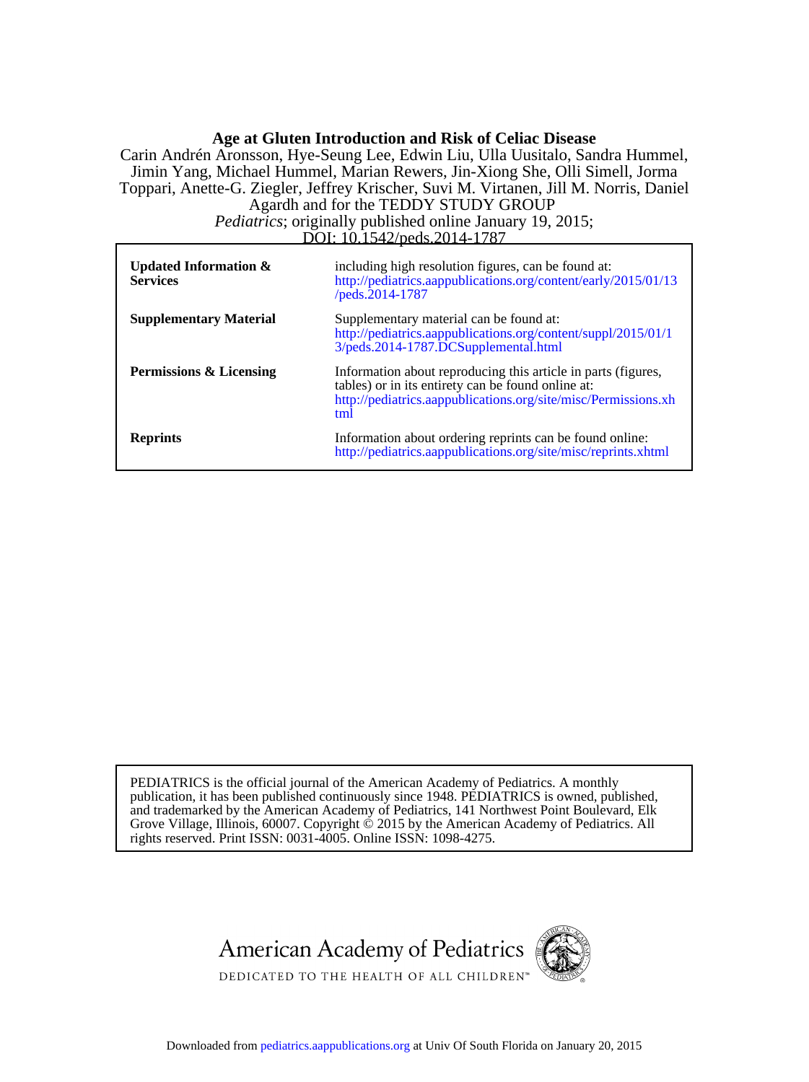# **Age at Gluten Introduction and Risk of Celiac Disease**

DOI: 10.1542/peds.2014-1787 *Pediatrics*; originally published online January 19, 2015; Agardh and for the TEDDY STUDY GROUP Toppari, Anette-G. Ziegler, Jeffrey Krischer, Suvi M. Virtanen, Jill M. Norris, Daniel Jimin Yang, Michael Hummel, Marian Rewers, Jin-Xiong She, Olli Simell, Jorma Carin Andrén Aronsson, Hye-Seung Lee, Edwin Liu, Ulla Uusitalo, Sandra Hummel,

| Updated Information $\&$<br><b>Services</b> | including high resolution figures, can be found at:<br>http://pediatrics.aappublications.org/content/early/2015/01/13<br>/peds.2014-1787                                                     |
|---------------------------------------------|----------------------------------------------------------------------------------------------------------------------------------------------------------------------------------------------|
| <b>Supplementary Material</b>               | Supplementary material can be found at:<br>http://pediatrics.aappublications.org/content/suppl/2015/01/1<br>3/peds.2014-1787.DCSupplemental.html                                             |
| <b>Permissions &amp; Licensing</b>          | Information about reproducing this article in parts (figures,<br>tables) or in its entirety can be found online at:<br>http://pediatrics.aappublications.org/site/misc/Permissions.xh<br>tml |
| <b>Reprints</b>                             | Information about ordering reprints can be found online:<br>http://pediatrics.aappublications.org/site/misc/reprints.xhtml                                                                   |

rights reserved. Print ISSN: 0031-4005. Online ISSN: 1098-4275. Grove Village, Illinois, 60007. Copyright  $\acute{\text{o}}$  2015 by the American Academy of Pediatrics. All and trademarked by the American Academy of Pediatrics, 141 Northwest Point Boulevard, Elk publication, it has been published continuously since 1948. PEDIATRICS is owned, published, PEDIATRICS is the official journal of the American Academy of Pediatrics. A monthly